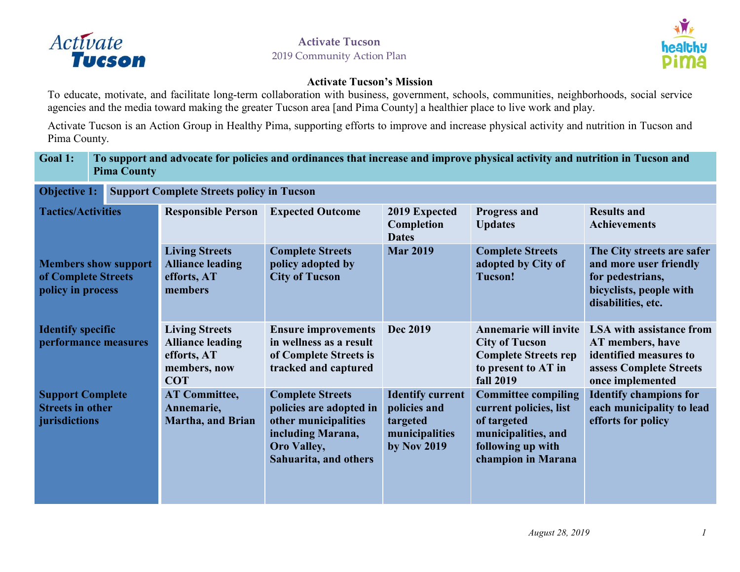



#### **Activate Tucson's Mission**

To educate, motivate, and facilitate long-term collaboration with business, government, schools, communities, neighborhoods, social service agencies and the media toward making the greater Tucson area [and Pima County] a healthier place to live work and [play.](http://activatetucson.org.s101150.gridserver.com/?p=175)

Activate Tucson is an Action Group in Healthy Pima, supporting efforts to improve and increase physical activity and nutrition in Tucson and Pima County.

#### **Goal 1: To support and advocate for policies and ordinances that increase and improve physical activity and nutrition in Tucson and Pima County**

| <b>Objective 1:</b><br><b>Support Complete Streets policy in Tucson</b> |                                                                                               |                                                                                                                                                |                                                                                      |                                                                                                                                       |                                                                                                                              |  |
|-------------------------------------------------------------------------|-----------------------------------------------------------------------------------------------|------------------------------------------------------------------------------------------------------------------------------------------------|--------------------------------------------------------------------------------------|---------------------------------------------------------------------------------------------------------------------------------------|------------------------------------------------------------------------------------------------------------------------------|--|
| <b>Tactics/Activities</b>                                               | <b>Responsible Person</b>                                                                     | <b>Expected Outcome</b>                                                                                                                        | 2019 Expected<br>Completion<br><b>Dates</b>                                          | <b>Progress and</b><br><b>Updates</b>                                                                                                 | <b>Results and</b><br><b>Achievements</b>                                                                                    |  |
| <b>Members show support</b><br>of Complete Streets<br>policy in process | <b>Living Streets</b><br><b>Alliance leading</b><br>efforts, AT<br>members                    | <b>Complete Streets</b><br>policy adopted by<br><b>City of Tucson</b>                                                                          | <b>Mar 2019</b>                                                                      | <b>Complete Streets</b><br>adopted by City of<br><b>Tucson!</b>                                                                       | The City streets are safer<br>and more user friendly<br>for pedestrians,<br>bicyclists, people with<br>disabilities, etc.    |  |
| <b>Identify specific</b><br>performance measures                        | <b>Living Streets</b><br><b>Alliance leading</b><br>efforts, AT<br>members, now<br><b>COT</b> | <b>Ensure improvements</b><br>in wellness as a result<br>of Complete Streets is<br>tracked and captured                                        | <b>Dec 2019</b>                                                                      | <b>Annemarie will invite</b><br><b>City of Tucson</b><br><b>Complete Streets rep</b><br>to present to AT in<br><b>fall 2019</b>       | <b>LSA</b> with assistance from<br>AT members, have<br>identified measures to<br>assess Complete Streets<br>once implemented |  |
| <b>Support Complete</b><br><b>Streets in other</b><br>jurisdictions     | <b>AT Committee,</b><br>Annemarie,<br><b>Martha, and Brian</b>                                | <b>Complete Streets</b><br>policies are adopted in<br>other municipalities<br>including Marana,<br><b>Oro Valley,</b><br>Sahuarita, and others | <b>Identify current</b><br>policies and<br>targeted<br>municipalities<br>by Nov 2019 | <b>Committee compiling</b><br>current policies, list<br>of targeted<br>municipalities, and<br>following up with<br>champion in Marana | <b>Identify champions for</b><br>each municipality to lead<br>efforts for policy                                             |  |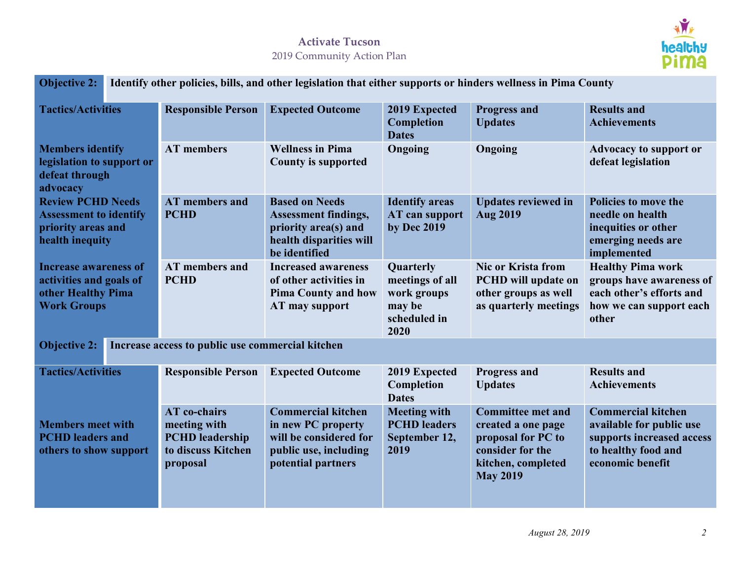

|                                                                                                     | Objective 2: Identify other policies, bills, and other legislation that either supports or hinders wellness in Pima County |                                                                                                                          |                                                                               |                                                                                                                                   |                                                                                                                               |  |
|-----------------------------------------------------------------------------------------------------|----------------------------------------------------------------------------------------------------------------------------|--------------------------------------------------------------------------------------------------------------------------|-------------------------------------------------------------------------------|-----------------------------------------------------------------------------------------------------------------------------------|-------------------------------------------------------------------------------------------------------------------------------|--|
| <b>Tactics/Activities</b>                                                                           | <b>Responsible Person</b>                                                                                                  | <b>Expected Outcome</b>                                                                                                  | 2019 Expected<br>Completion<br><b>Dates</b>                                   | <b>Progress and</b><br><b>Updates</b>                                                                                             | <b>Results and</b><br><b>Achievements</b>                                                                                     |  |
| <b>Members identify</b><br>legislation to support or<br>defeat through<br>advocacy                  | <b>AT</b> members                                                                                                          | <b>Wellness in Pima</b><br><b>County is supported</b>                                                                    | Ongoing                                                                       | Ongoing                                                                                                                           | <b>Advocacy to support or</b><br>defeat legislation                                                                           |  |
| <b>Review PCHD Needs</b><br><b>Assessment to identify</b><br>priority areas and<br>health inequity  | <b>AT</b> members and<br><b>PCHD</b>                                                                                       | <b>Based on Needs</b><br><b>Assessment findings,</b><br>priority area(s) and<br>health disparities will<br>be identified | <b>Identify areas</b><br>AT can support<br>by Dec 2019                        | <b>Updates reviewed in</b><br><b>Aug 2019</b>                                                                                     | Policies to move the<br>needle on health<br>inequities or other<br>emerging needs are<br>implemented                          |  |
| <b>Increase awareness of</b><br>activities and goals of<br>other Healthy Pima<br><b>Work Groups</b> | AT members and<br><b>PCHD</b>                                                                                              | <b>Increased awareness</b><br>of other activities in<br><b>Pima County and how</b><br>AT may support                     | Quarterly<br>meetings of all<br>work groups<br>may be<br>scheduled in<br>2020 | <b>Nic or Krista from</b><br><b>PCHD</b> will update on<br>other groups as well<br>as quarterly meetings                          | <b>Healthy Pima work</b><br>groups have awareness of<br>each other's efforts and<br>how we can support each<br>other          |  |
| <b>Objective 2:</b><br>Increase access to public use commercial kitchen                             |                                                                                                                            |                                                                                                                          |                                                                               |                                                                                                                                   |                                                                                                                               |  |
| <b>Tactics/Activities</b>                                                                           | <b>Responsible Person</b>                                                                                                  | <b>Expected Outcome</b>                                                                                                  | 2019 Expected<br>Completion<br><b>Dates</b>                                   | <b>Progress and</b><br><b>Updates</b>                                                                                             | <b>Results and</b><br><b>Achievements</b>                                                                                     |  |
| <b>Members meet with</b><br><b>PCHD</b> leaders and<br>others to show support                       | <b>AT</b> co-chairs<br>meeting with<br><b>PCHD</b> leadership<br>to discuss Kitchen<br>proposal                            | <b>Commercial kitchen</b><br>in new PC property<br>will be considered for<br>public use, including<br>potential partners | <b>Meeting with</b><br><b>PCHD</b> leaders<br>September 12,<br>2019           | <b>Committee met and</b><br>created a one page<br>proposal for PC to<br>consider for the<br>kitchen, completed<br><b>May 2019</b> | <b>Commercial kitchen</b><br>available for public use<br>supports increased access<br>to healthy food and<br>economic benefit |  |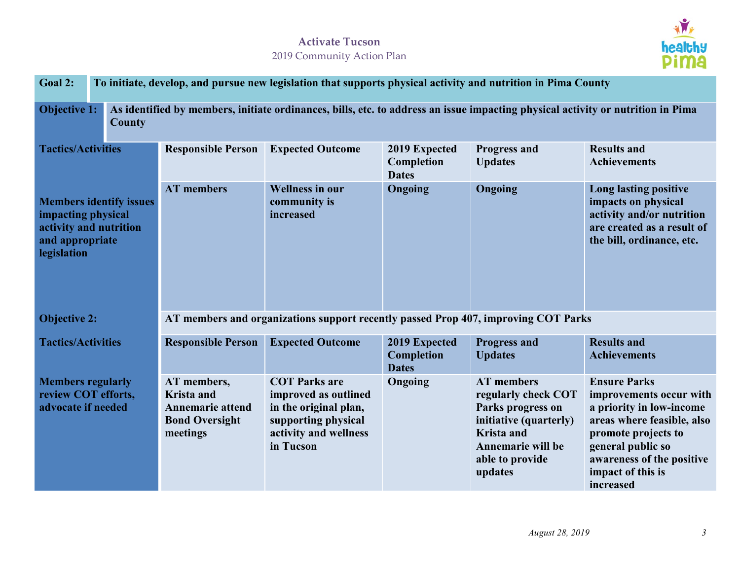

| <b>Goal 2:</b>                                                                                                   |        | To initiate, develop, and pursue new legislation that supports physical activity and nutrition in Pima County                   |                                                                                                                                    |                                             |                                                                                                                                                                 |                                                                                                                                                                                                                     |  |  |
|------------------------------------------------------------------------------------------------------------------|--------|---------------------------------------------------------------------------------------------------------------------------------|------------------------------------------------------------------------------------------------------------------------------------|---------------------------------------------|-----------------------------------------------------------------------------------------------------------------------------------------------------------------|---------------------------------------------------------------------------------------------------------------------------------------------------------------------------------------------------------------------|--|--|
| <b>Objective 1:</b>                                                                                              | County | As identified by members, initiate ordinances, bills, etc. to address an issue impacting physical activity or nutrition in Pima |                                                                                                                                    |                                             |                                                                                                                                                                 |                                                                                                                                                                                                                     |  |  |
| <b>Tactics/Activities</b>                                                                                        |        | <b>Responsible Person</b>                                                                                                       | <b>Expected Outcome</b>                                                                                                            | 2019 Expected<br>Completion<br><b>Dates</b> | <b>Progress and</b><br><b>Updates</b>                                                                                                                           | <b>Results and</b><br><b>Achievements</b>                                                                                                                                                                           |  |  |
| <b>Members identify issues</b><br>impacting physical<br>activity and nutrition<br>and appropriate<br>legislation |        | <b>AT</b> members                                                                                                               | <b>Wellness in our</b><br>community is<br>increased                                                                                | Ongoing                                     | Ongoing                                                                                                                                                         | <b>Long lasting positive</b><br>impacts on physical<br>activity and/or nutrition<br>are created as a result of<br>the bill, ordinance, etc.                                                                         |  |  |
| <b>Objective 2:</b>                                                                                              |        | AT members and organizations support recently passed Prop 407, improving COT Parks                                              |                                                                                                                                    |                                             |                                                                                                                                                                 |                                                                                                                                                                                                                     |  |  |
| <b>Tactics/Activities</b>                                                                                        |        | <b>Responsible Person</b>                                                                                                       | <b>Expected Outcome</b>                                                                                                            | 2019 Expected<br>Completion<br><b>Dates</b> | <b>Progress and</b><br><b>Updates</b>                                                                                                                           | <b>Results and</b><br><b>Achievements</b>                                                                                                                                                                           |  |  |
| <b>Members regularly</b><br>review COT efforts,<br>advocate if needed                                            |        | AT members,<br><b>Krista</b> and<br>Annemarie attend<br><b>Bond Oversight</b><br>meetings                                       | <b>COT Parks are</b><br>improved as outlined<br>in the original plan,<br>supporting physical<br>activity and wellness<br>in Tucson | Ongoing                                     | <b>AT</b> members<br>regularly check COT<br>Parks progress on<br>initiative (quarterly)<br><b>Krista</b> and<br>Annemarie will be<br>able to provide<br>updates | <b>Ensure Parks</b><br>improvements occur with<br>a priority in low-income<br>areas where feasible, also<br>promote projects to<br>general public so<br>awareness of the positive<br>impact of this is<br>increased |  |  |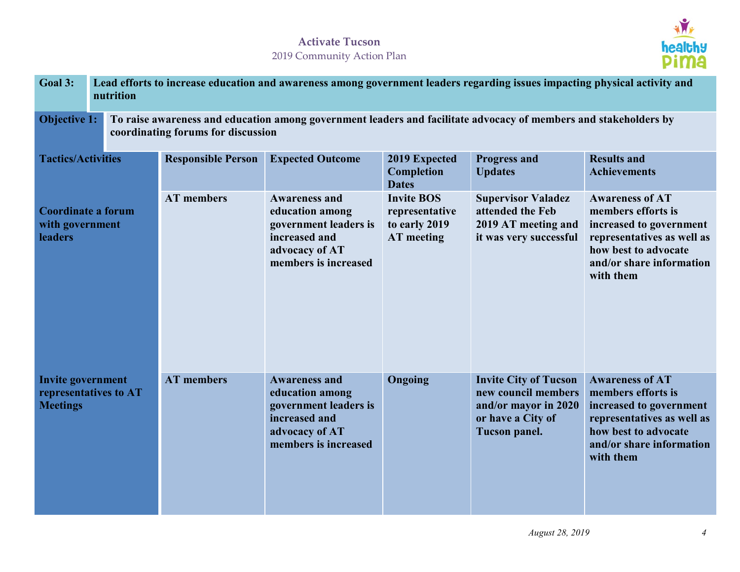

| Goal 3:                                                                                                                                                                       | nutrition | Lead efforts to increase education and awareness among government leaders regarding issues impacting physical activity and |                                                                                                                             |                                                                           |                                                                                                                   |                                                                                                                                                                        |  |  |
|-------------------------------------------------------------------------------------------------------------------------------------------------------------------------------|-----------|----------------------------------------------------------------------------------------------------------------------------|-----------------------------------------------------------------------------------------------------------------------------|---------------------------------------------------------------------------|-------------------------------------------------------------------------------------------------------------------|------------------------------------------------------------------------------------------------------------------------------------------------------------------------|--|--|
| <b>Objective 1:</b><br>To raise awareness and education among government leaders and facilitate advocacy of members and stakeholders by<br>coordinating forums for discussion |           |                                                                                                                            |                                                                                                                             |                                                                           |                                                                                                                   |                                                                                                                                                                        |  |  |
| <b>Tactics/Activities</b><br><b>Coordinate a forum</b><br>with government<br>leaders                                                                                          |           | <b>Responsible Person</b>                                                                                                  | <b>Expected Outcome</b>                                                                                                     | 2019 Expected<br>Completion<br><b>Dates</b>                               | <b>Progress and</b><br><b>Updates</b>                                                                             | <b>Results and</b><br><b>Achievements</b>                                                                                                                              |  |  |
|                                                                                                                                                                               |           | <b>AT</b> members                                                                                                          | <b>Awareness and</b><br>education among<br>government leaders is<br>increased and<br>advocacy of AT<br>members is increased | <b>Invite BOS</b><br>representative<br>to early 2019<br><b>AT</b> meeting | <b>Supervisor Valadez</b><br>attended the Feb<br>2019 AT meeting and<br>it was very successful                    | <b>Awareness of AT</b><br>members efforts is<br>increased to government<br>representatives as well as<br>how best to advocate<br>and/or share information<br>with them |  |  |
| <b>Invite government</b><br>representatives to AT<br><b>Meetings</b>                                                                                                          |           | <b>AT</b> members                                                                                                          | <b>Awareness and</b><br>education among<br>government leaders is<br>increased and<br>advocacy of AT<br>members is increased | Ongoing                                                                   | <b>Invite City of Tucson</b><br>new council members<br>and/or mayor in 2020<br>or have a City of<br>Tucson panel. | <b>Awareness of AT</b><br>members efforts is<br>increased to government<br>representatives as well as<br>how best to advocate<br>and/or share information<br>with them |  |  |